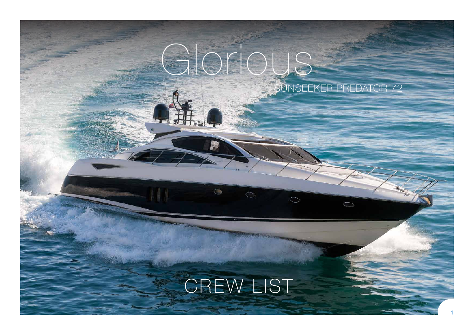# Glorious SUNSEEKER PREDATOR 72

# CREW LIST